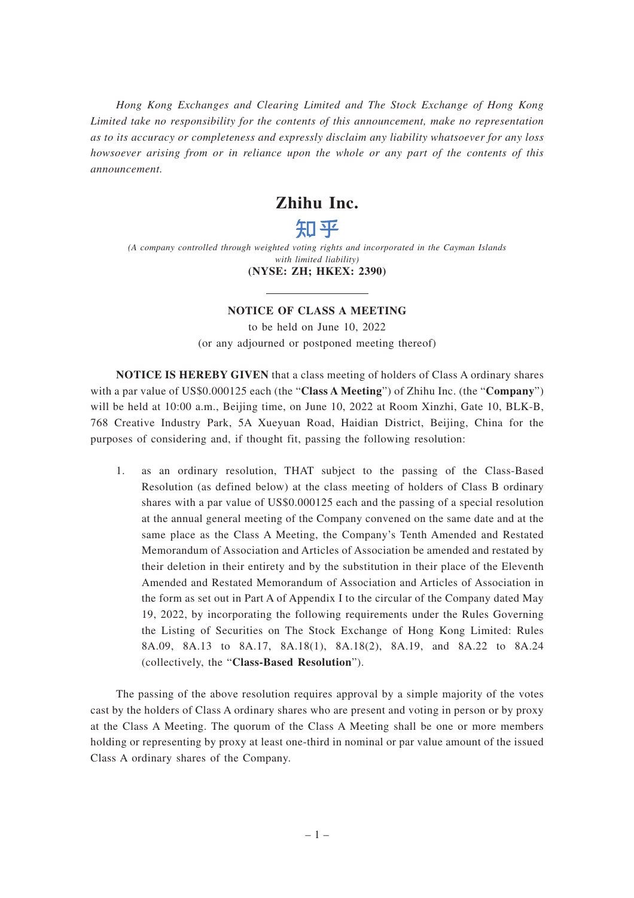*Hong Kong Exchanges and Clearing Limited and The Stock Exchange of Hong Kong Limited take no responsibility for the contents of this announcement, make no representation as to its accuracy or completeness and expressly disclaim any liability whatsoever for any loss howsoever arising from or in reliance upon the whole or any part of the contents of this announcement.*

## **Zhihu Inc.**

# 知平

*(A company controlled through weighted voting rights and incorporated in the Cayman Islands with limited liability)* **(NYSE: ZH; HKEX: 2390)**

### **NOTICE OF CLASS A MEETING**

to be held on June 10, 2022 (or any adjourned or postponed meeting thereof)

**NOTICE IS HEREBY GIVEN** that a class meeting of holders of Class A ordinary shares with a par value of US\$0.000125 each (the "**Class A Meeting**") of Zhihu Inc. (the "**Company**") will be held at 10:00 a.m., Beijing time, on June 10, 2022 at Room Xinzhi, Gate 10, BLK-B, 768 Creative Industry Park, 5A Xueyuan Road, Haidian District, Beijing, China for the purposes of considering and, if thought fit, passing the following resolution:

1. as an ordinary resolution, THAT subject to the passing of the Class-Based Resolution (as defined below) at the class meeting of holders of Class B ordinary shares with a par value of US\$0.000125 each and the passing of a special resolution at the annual general meeting of the Company convened on the same date and at the same place as the Class A Meeting, the Company's Tenth Amended and Restated Memorandum of Association and Articles of Association be amended and restated by their deletion in their entirety and by the substitution in their place of the Eleventh Amended and Restated Memorandum of Association and Articles of Association in the form as set out in Part A of Appendix I to the circular of the Company dated May 19, 2022, by incorporating the following requirements under the Rules Governing the Listing of Securities on The Stock Exchange of Hong Kong Limited: Rules 8A.09, 8A.13 to 8A.17, 8A.18(1), 8A.18(2), 8A.19, and 8A.22 to 8A.24 (collectively, the "**Class-Based Resolution**").

The passing of the above resolution requires approval by a simple majority of the votes cast by the holders of Class A ordinary shares who are present and voting in person or by proxy at the Class A Meeting. The quorum of the Class A Meeting shall be one or more members holding or representing by proxy at least one-third in nominal or par value amount of the issued Class A ordinary shares of the Company.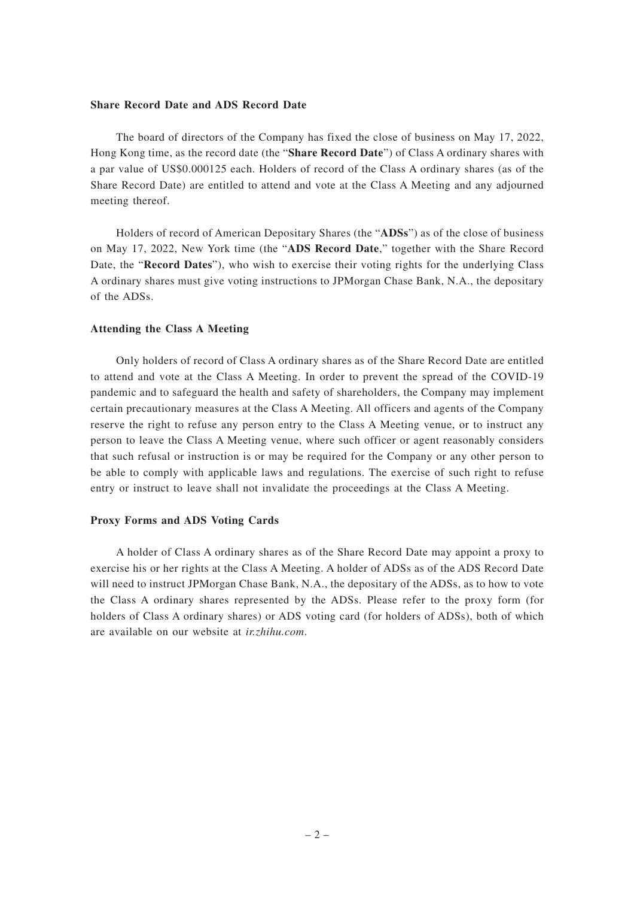#### **Share Record Date and ADS Record Date**

The board of directors of the Company has fixed the close of business on May 17, 2022, Hong Kong time, as the record date (the "**Share Record Date**") of Class A ordinary shares with a par value of US\$0.000125 each. Holders of record of the Class A ordinary shares (as of the Share Record Date) are entitled to attend and vote at the Class A Meeting and any adjourned meeting thereof.

Holders of record of American Depositary Shares (the "**ADSs**") as of the close of business on May 17, 2022, New York time (the "**ADS Record Date**," together with the Share Record Date, the "**Record Dates**"), who wish to exercise their voting rights for the underlying Class A ordinary shares must give voting instructions to JPMorgan Chase Bank, N.A., the depositary of the ADSs.

#### **Attending the Class A Meeting**

Only holders of record of Class A ordinary shares as of the Share Record Date are entitled to attend and vote at the Class A Meeting. In order to prevent the spread of the COVID-19 pandemic and to safeguard the health and safety of shareholders, the Company may implement certain precautionary measures at the Class A Meeting. All officers and agents of the Company reserve the right to refuse any person entry to the Class A Meeting venue, or to instruct any person to leave the Class A Meeting venue, where such officer or agent reasonably considers that such refusal or instruction is or may be required for the Company or any other person to be able to comply with applicable laws and regulations. The exercise of such right to refuse entry or instruct to leave shall not invalidate the proceedings at the Class A Meeting.

#### **Proxy Forms and ADS Voting Cards**

A holder of Class A ordinary shares as of the Share Record Date may appoint a proxy to exercise his or her rights at the Class A Meeting. A holder of ADSs as of the ADS Record Date will need to instruct JPMorgan Chase Bank, N.A., the depositary of the ADSs, as to how to vote the Class A ordinary shares represented by the ADSs. Please refer to the proxy form (for holders of Class A ordinary shares) or ADS voting card (for holders of ADSs), both of which are available on our website at *ir.zhihu.com*.